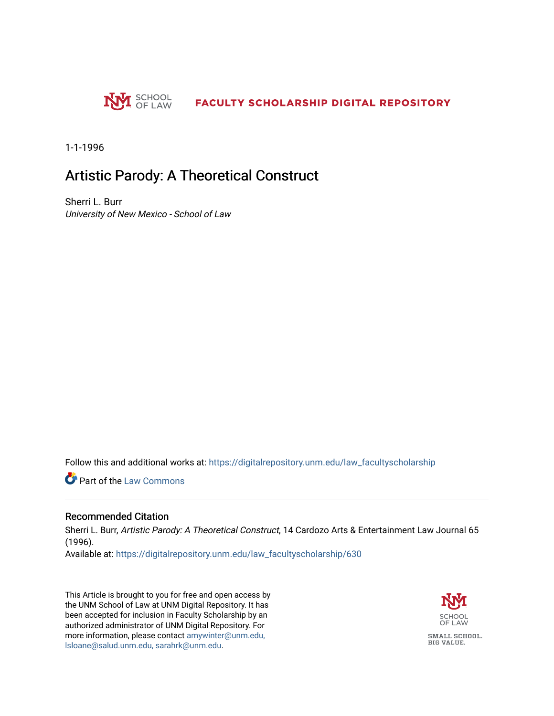

1-1-1996

# Artistic Parody: A Theoretical Construct

Sherri L. Burr University of New Mexico - School of Law

Follow this and additional works at: [https://digitalrepository.unm.edu/law\\_facultyscholarship](https://digitalrepository.unm.edu/law_facultyscholarship?utm_source=digitalrepository.unm.edu%2Flaw_facultyscholarship%2F630&utm_medium=PDF&utm_campaign=PDFCoverPages) 

Part of the [Law Commons](http://network.bepress.com/hgg/discipline/578?utm_source=digitalrepository.unm.edu%2Flaw_facultyscholarship%2F630&utm_medium=PDF&utm_campaign=PDFCoverPages)

### Recommended Citation

Sherri L. Burr, Artistic Parody: A Theoretical Construct, 14 Cardozo Arts & Entertainment Law Journal 65 (1996).

Available at: [https://digitalrepository.unm.edu/law\\_facultyscholarship/630](https://digitalrepository.unm.edu/law_facultyscholarship/630?utm_source=digitalrepository.unm.edu%2Flaw_facultyscholarship%2F630&utm_medium=PDF&utm_campaign=PDFCoverPages) 

This Article is brought to you for free and open access by the UNM School of Law at UNM Digital Repository. It has been accepted for inclusion in Faculty Scholarship by an authorized administrator of UNM Digital Repository. For more information, please contact [amywinter@unm.edu,](mailto:amywinter@unm.edu,%20lsloane@salud.unm.edu,%20sarahrk@unm.edu)  [lsloane@salud.unm.edu, sarahrk@unm.edu.](mailto:amywinter@unm.edu,%20lsloane@salud.unm.edu,%20sarahrk@unm.edu)

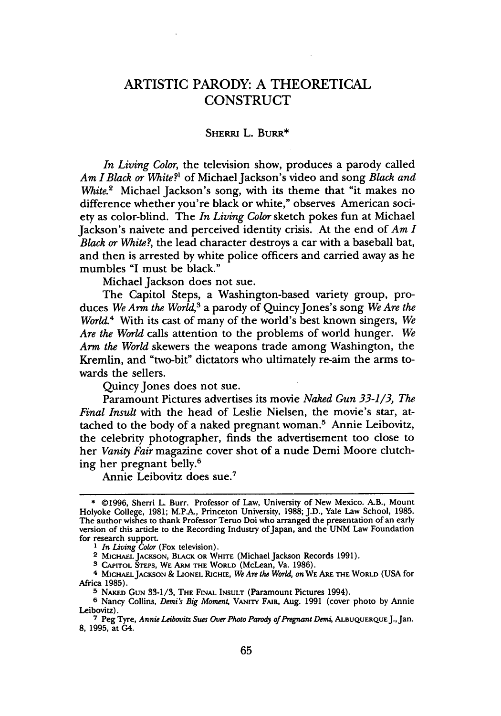## ARTISTIC PARODY: A THEORETICAL **CONSTRUCT**

#### SHERRI L. **BURR\***

*In Living Color,* the television show, produces a parody called *Am I Black or White?1* of Michael Jackson's video and song *Black and White.*<sup>2</sup> Michael Jackson's song, with its theme that "it makes no difference whether you're black or white," observes American society as color-blind. The *In Living Color* sketch pokes fun at Michael Jackson's naivete and perceived identity crisis. At the end of *Am I Black or White?,* the lead character destroys a car with a baseball bat, and then is arrested by white police officers and carried away as he mumbles "I must be black."

Michael Jackson does not sue.

The Capitol Steps, a Washington-based variety group, produces *We Arm the World,3* a parody of QuincyJones's song *We Are the World.4* With its cast of many of the world's best known singers, *We Are the World* calls attention to the problems of world hunger. *We Arm the World* skewers the weapons trade among Washington, the Kremlin, and "two-bit" dictators who ultimately re-aim the arms towards the sellers.

Quincy Jones does not sue.

Paramount Pictures advertises its movie *Naked Gun 33-1/3, The Final Insult* with the head of Leslie Nielsen, the movie's star, attached to the body of a naked pregnant woman.<sup>5</sup> Annie Leibovitz, the celebrity photographer, finds the advertisement too close to her *Vanity Fair* magazine cover shot of a nude Demi Moore clutching her pregnant belly.6

Annie Leibovitz does sue.<sup>7</sup>

<sup>\* ©1996,</sup> Sherri L. Burr. Professor of Law, University of New Mexico. A.B., Mount Holyoke College, 1981; M.P.A., Princeton University, 1988; J.D., Yale Law School, 1985. The author wishes to thank Professor Teruo Doi who arranged the presentation of an early version of this article to the Recording Industry of Japan, and the UNM Law Foundation for research support.

**<sup>1</sup>** *In Living Color* (Fox television).

<sup>2</sup> **MICHAEL** JACKSON, BLACK OR WHITE (Michael Jackson Records 1991).

**<sup>3</sup> CAPITOL STEPS,** WE **ARM** THE WORLD (McLean, Va. 1986).

<sup>4</sup> **MICHAELJACKSON** *&* **LIONEL RICHIE,** *We Are the World, on* WE ARE THE WORLD (USA for Africa 1985).<br><sup>5</sup> NAKED GUN 33-1/3, THE FINAL INSULT (Paramount Pictures 1994).

<sup>&</sup>lt;sup>6</sup> Nancy Collins, Demi's Big Moment, VANITY FAIR, Aug. 1991 (cover photo by Annie Leibovitz).

**<sup>7</sup>** Peg Tyre, *Annie Leibovitz Sues Over Photo Parody ofPregnant Demi,* **ALBUQUERQUEJ.,Jan. 8,** 1995, at G4.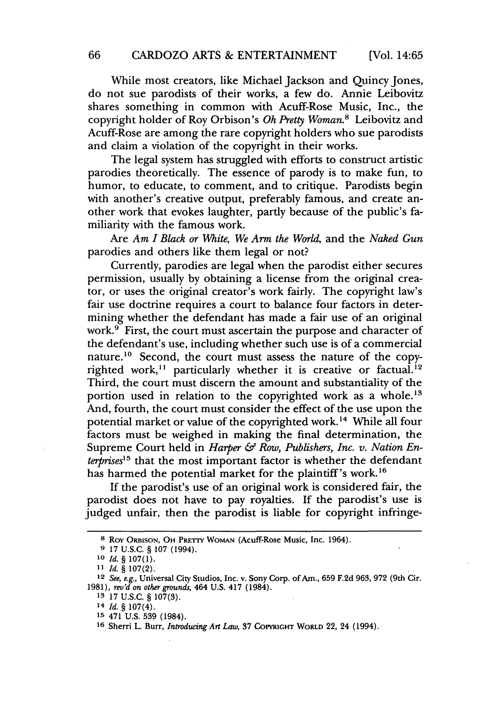While most creators, like Michael Jackson and Quincy Jones, do not sue parodists of their works, a few do. Annie Leibovitz shares something in common with Acuff-Rose Music, Inc., the copyright holder of Roy Orbison's *Oh Pretty Woman.8* Leibovitz and Acuff-Rose are among the rare copyright holders who sue parodists and claim a violation of the copyright in their works.

The legal system has struggled with efforts to construct artistic parodies theoretically. The essence of parody is to make fun, to humor, to educate, to comment, and to critique. Parodists begin with another's creative output, preferably famous, and create another work that evokes laughter, partly because of the public's familiarity with the famous work.

Are *Am I Black or White, We Arm the World,* and the *Naked Gun* parodies and others like them legal or not?

Currently, parodies are legal when the parodist either secures permission, usually by obtaining a license from the original creator, or uses the original creator's work fairly. The copyright law's fair use doctrine requires a court to balance four factors in determining whether the defendant has made a fair use of an original work.<sup>9</sup> First, the court must ascertain the purpose and character of the defendant's use, including whether such use is of a commercial nature.<sup>10</sup> Second, the court must assess the nature of the copyrighted work,<sup>11</sup> particularly whether it is creative or factual.<sup>12</sup> Third, the court must discern the amount and substantiality of the portion used in relation to the copyrighted work as a whole.<sup>13</sup> And, fourth, the court must consider the effect of the use upon the potential market or value of the copyrighted work.'4 While all four factors must be weighed in making the final determination, the Supreme Court held in *Harper & Row, Publishers, Inc. v. Nation Enterprises"3* that the most important factor is whether the defendant has harmed the potential market for the plaintiff's work.<sup>16</sup>

If the parodist's use of an original work is considered fair, the parodist does not have to pay royalties. If the parodist's use is judged unfair, then the parodist is liable for copyright infringe-

<sup>8</sup> ROY ORBISON, OH PRETTY WOMAN (Acuff-Rose Music, Inc. 1964).

**<sup>9</sup>** 17 U.S.C. § 107 (1994).

**<sup>10</sup>***Id.* § 107(1).

*<sup>11</sup>Id.* § 107(2).

<sup>12</sup>*See, e.g.,* Universal City Studios, Inc. v. Sony Corp. of Am., 659 F.2d 963, 972 (9th Cir. 1981), *revd on other grounds,* 464 U.S. 417 (1984).

**<sup>13</sup>** 17 U.S.C. § 107(3).

<sup>14</sup> *Id.* § 107(4).

**<sup>15</sup>** 471 U.S. **539** (1984).

**<sup>16</sup>** Sherri L. Burr, *Introducing Art Law,* 37 **COPYRIGHT** WORLD 22, 24 (1994).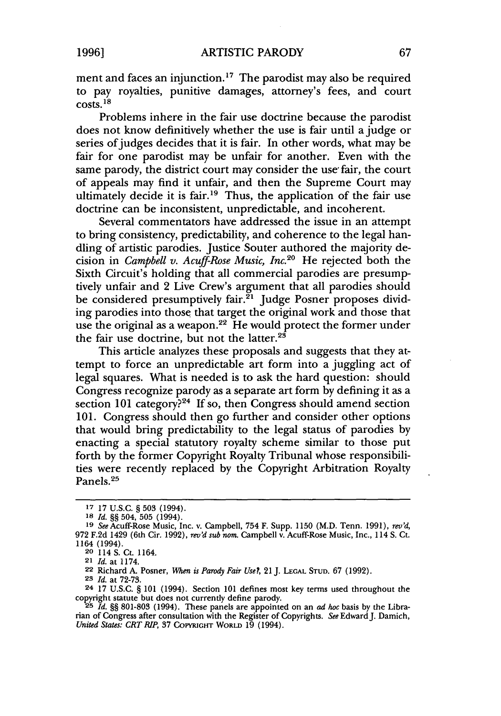ment and faces an injunction.<sup>17</sup> The parodist may also be required to pay royalties, punitive damages, attorney's fees, and court  $costs<sup>18</sup>$ 

Problems inhere in the fair use doctrine because the parodist does not know definitively whether the use is fair until a judge or series of judges decides that it is fair. In other words, what may be fair for one parodist may be unfair for another. Even with the same parody, the district court may consider the use' fair, the court of appeals may find it unfair, and then the Supreme Court may ultimately decide it is fair.<sup>19</sup> Thus, the application of the fair use doctrine can be inconsistent, unpredictable, and incoherent.

Several commentators have addressed the issue in an attempt to bring consistency, predictability, and coherence to the legal handling of artistic parodies. Justice Souter authored the majority decision in *Campbell v. Acuff-Rose Music, Inc.*<sup>20</sup> He rejected both the Sixth Circuit's holding that all commercial parodies are presumptively unfair and 2 Live Crew's argument that all parodies should be considered presumptively fair.<sup>21</sup> Judge Posner proposes dividing parodies into those that target the original work and those that use the original as a weapon.<sup>22</sup> He would protect the former under the fair use doctrine, but not the latter.<sup>25</sup>

This article analyzes these proposals and suggests that they attempt to force an unpredictable art form into a juggling act of legal squares. What is needed is to ask the hard question: should Congress recognize parody as a separate art form by defining it as a section 101 category?<sup>24</sup> If so, then Congress should amend section 101. Congress should then go further and consider other options that would bring predictability to the legal status of parodies by enacting a special statutory royalty scheme similar to those put forth by the former Copyright Royalty Tribunal whose responsibilities were recently replaced by the Copyright Arbitration Royalty Panels.<sup>25</sup>

**<sup>17</sup>** 17 U.S.C. § 503 (1994).

**<sup>18</sup>** *Id.* §§ 504, 505 (1994).

**<sup>19</sup>** SeeAcuff-Rose Music, Inc. v. Campbell, 754 F. Supp. 1150 (M.D. Tenn. 1991), *rev'd,* 972 F.2d 1429 (6th Cir. 1992), *revd sub nom.* Campbell v. Acuff-Rose Music, Inc., 114 S. *Ct.* 1164 (1994).

**<sup>20</sup>** 114 S. Ct. 1164.

**<sup>21</sup>** *Id.* at 1174.

**<sup>22</sup>** Richard A. Posner, *W7en is Parody Fair Use?,* 21J. **LEGAL STUD.** 67 (1992).

**<sup>23</sup>** *Id.* at 72-73.

<sup>24 17</sup> U.S.C. § 101 (1994). Section 101 defines most key terms used throughout the copyright statute but does not currently define parody.

**<sup>25</sup>** *Id.* §§ 801-803 (1994). These panels are appointed on an *ad hoc* basis by the Librarian of Congress after consultation with the Register of Copyrights. See Edward J. Damich, *United States: CRT RIP,* **37 COPYRIGHT** WORLD 19 (1994).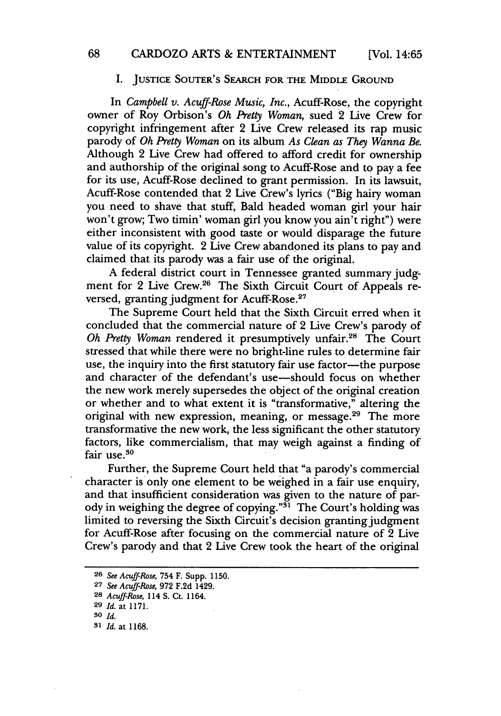#### I. JUSTICE SOUTER'S SEARCH FOR THE MIDDLE GRouND

In *Campbell v. Acuff-Rose Music, Inc.,* Acuff-Rose, the copyright owner of Roy Orbison's *Oh Pretty Woman,* sued 2 Live Crew for copyright infringement after 2 Live Crew released its rap music parody of *Oh Pretty Woman* on its album *As Clean as They Wanna Be.* Although 2 Live Crew had offered to afford credit for ownership and authorship of the original song to Acuff-Rose and to pay a fee for its use, Acuff-Rose declined to grant permission. In its lawsuit, Acuff-Rose contended that 2 Live Crew's lyrics ("Big hairy woman you need to shave that stuff, Bald headed woman girl your hair won't grow; Two timin' woman girl you know you ain't right") were either inconsistent with good taste or would disparage the future value of its copyright. 2 Live Crew abandoned its plans to pay and claimed that its parody was a fair use of the original.

A federal district court in Tennessee granted summary judgment for 2 Live Crew.<sup>26</sup> The Sixth Circuit Court of Appeals reversed, granting judgment for Acuff-Rose.<sup>27</sup>

The Supreme Court held that the Sixth Circuit erred when it concluded that the commercial nature of 2 Live Crew's parody of *Oh Pretty Woman* rendered it presumptively unfair.28 The Court stressed that while there were no bright-line rules to determine fair use, the inquiry into the first statutory fair use factor—the purpose and character of the defendant's use-should focus on whether the new work merely supersedes the object of the original creation or whether and to what extent it is "transformative," altering the original with new expression, meaning, or message.<sup>29</sup> The more transformative the new work, the less significant the other statutory factors, like commercialism, that may weigh against a finding of fair use.<sup>30</sup>

Further, the Supreme Court held that "a parody's commercial character is only one element to be weighed in a fair use enquiry, and that insufficient consideration was given to the nature of parody in weighing the degree of copying."<sup> $\tilde{3}$ 1</sup> The Court's holding was limited to reversing the Sixth Circuit's decision granting judgment for Acuff-Rose after focusing on the commercial nature of 2 Live Crew's parody and that 2 Live Crew took the heart of the original

**<sup>26</sup>** *See Acuff-Rose,* 754 F. Supp. 1150.

**<sup>27</sup>** *See Acuff-Rose,* 972 F.2d 1429.

**<sup>28</sup>** *Acuff-Rose,* 114 S. Ct. 1164.

**<sup>29</sup>** *Id.* at 1171.

**so** *Id.*

**<sup>31</sup>**Id. at **1168.**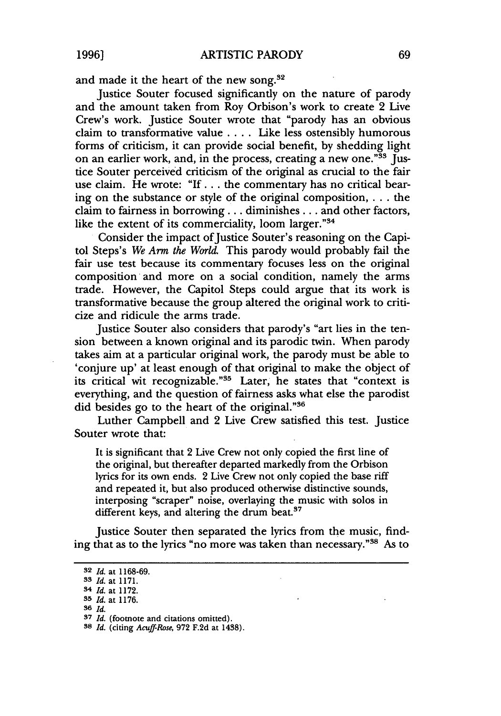and made it the heart of the new song. **<sup>3</sup>**

Justice Souter focused significantly on the nature of parody and the amount taken from Roy Orbison's work to create 2 Live Crew's work. Justice Souter wrote that "parody has an obvious claim to transformative value .... Like less ostensibly humorous forms of criticism, it can provide social benefit, by shedding light on an earlier work, and, in the process, creating a new one."<sup>33</sup> Justice Souter perceived criticism of the original as crucial to the fair use claim. He wrote: "If... the commentary has no critical bearing on the substance or style of the original composition, . **.** . the claim to fairness in borrowing... diminishes... and other factors, like the extent of its commerciality, loom larger."<sup>34</sup>

Consider the impact of Justice Souter's reasoning on the Capitol Steps's *We Arm the World.* This parody would probably fail the fair use test because its commentary focuses less on the original composition and more on a social condition, namely the arms trade. However, the Capitol Steps could argue that its work is transformative because the group altered the original work to criticize and ridicule the arms trade.

Justice Souter also considers that parody's "art lies in the tension between a known original and its parodic twin. When parody takes aim at a particular original work, the parody must be able to 'conjure up' at least enough of that original to make the object of its critical wit recognizable."<sup>35</sup> Later, he states that "context is everything, and the question of fairness asks what else the parodist did besides go to the heart of the original."<sup>36</sup>

Luther Campbell and 2 Live Crew satisfied this test. Justice Souter wrote that:

It is significant that 2 Live Crew not only copied the first line of the original, but thereafter departed markedly from the Orbison lyrics for its own ends. 2 Live Crew not only copied the base riff and repeated it, but also produced otherwise distinctive sounds, interposing "scraper" noise, overlaying the music with solos in different keys, and altering the drum beat.<sup>37</sup>

Justice Souter then separated the lyrics from the music, finding that as to the lyrics "no more was taken than necessary."38 As to

**<sup>32</sup>** *Id.* at 1168-69.

**<sup>33</sup>** *Id.* at 1171.

<sup>34</sup> *Id.* at 1172.

**<sup>35</sup>** *Id.* at 1176.

**<sup>36</sup> Id.**

**<sup>37</sup>** *Id.* (footnote and citations omitted).

**<sup>38</sup>** *Id.* (citing *Acuff-Rose,* **972 F.2d** at 1438).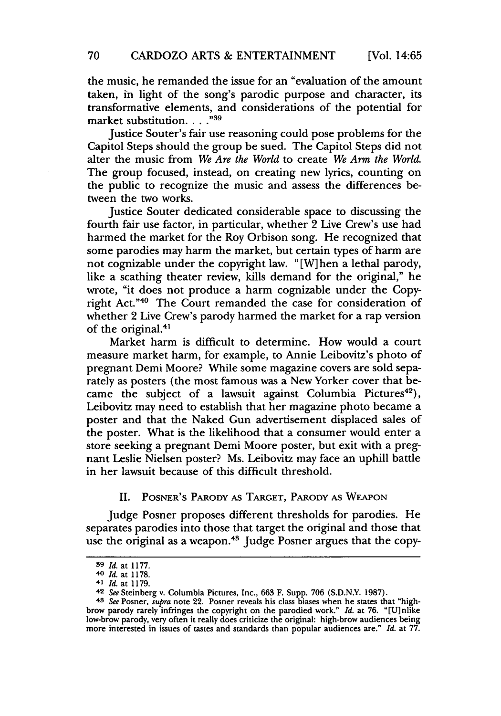the music, he remanded the issue for an "evaluation of the amount taken, in light of the song's parodic purpose and character, its transformative elements, and considerations of the potential for market substitution. . . . "<sup>39</sup>

Justice Souter's fair use reasoning could pose problems for the Capitol Steps should the group be sued. The Capitol Steps did not alter the music from *We Are the World* to create *We Arm the World.* The group focused, instead, on creating new lyrics, counting on the public to recognize the music and assess the differences between the two works.

Justice Souter dedicated considerable space to discussing the fourth fair use factor, in particular, whether 2 Live Crew's use had harmed the market for the Roy Orbison song. He recognized that some parodies may harm the market, but certain types of harm are not cognizable under the copyright law. " [W] hen a lethal parody, like a scathing theater review, kills demand for the original," he wrote, "it does not produce a harm cognizable under the Copyright Act."<sup>40</sup> The Court remanded the case for consideration of whether 2 Live Crew's parody harmed the market for a rap version of the original.<sup>41</sup>

Market harm is difficult to determine. How would a court measure market harm, for example, to Annie Leibovitz's photo of pregnant Demi Moore? While some magazine covers are sold separately as posters (the most famous was a New Yorker cover that became the subject of a lawsuit against Columbia Pictures<sup>42</sup>), Leibovitz may need to establish that her magazine photo became a poster and that the Naked Gun advertisement displaced sales of the poster. What is the likelihood that a consumer would enter a store seeking a pregnant Demi Moore poster, but exit with a pregnant Leslie Nielsen poster? Ms. Leibovitz may face an uphill battle in her lawsuit because of this difficult threshold.

II. POSNER'S PARODY AS TARGET, PARODY **AS WEAPON**

Judge Posner proposes different thresholds for parodies. He separates parodies into those that target the original and those that use the original as a weapon.<sup>43</sup> Judge Posner argues that the copy-

**<sup>39</sup>** *Id.* at **1177.**

**<sup>40</sup>** *Id.* at **1178.**

<sup>41</sup> *Id.* at 1179.

**<sup>42</sup>** *See* Steinberg v. Columbia Pictures, Inc., **663** F. Supp. **706** (S.D.N.Y. **1987).**

**<sup>43</sup>** *See* Posner, *supra* note 22. Posner reveals his class biases when he states that "highbrow parody rarely infringes the copyright on the parodied work." *Id.* at **76.** "[U]nlike low-brow parody, very often it really does criticize the original: high-brow audiences being more interested in issues of tastes and standards than popular audiences are." *Id.* at **77.**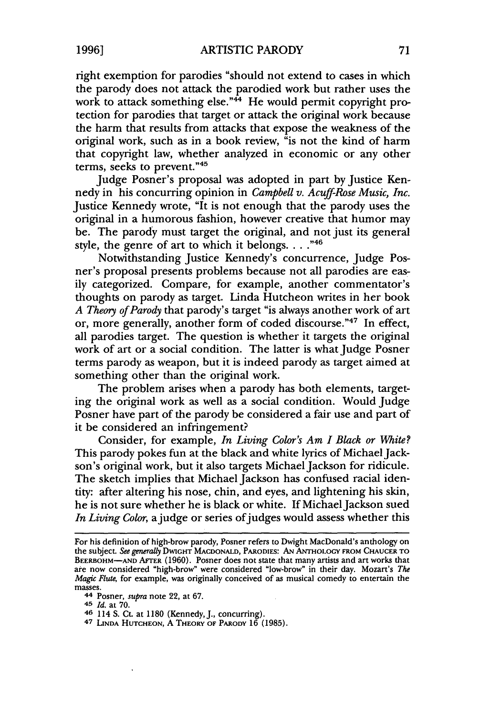**1996]**

right exemption for parodies "should not extend to cases in which the parody does not attack the parodied work but rather uses the work to attack something else." $44$  He would permit copyright protection for parodies that target or attack the original work because the harm that results from attacks that expose the weakness of the original work, such as in a book review, "is not the kind of harm that copyright law, whether analyzed in economic or any other terms, seeks to prevent."<sup>48</sup>

Judge Posner's proposal was adopted in part by Justice Kennedy in his concurring opinion in *Campbell v. Acuff-Rose Music, Inc.* Justice Kennedy wrote, "It is not enough that the parody uses the original in a humorous fashion, however creative that humor may be. The parody must target the original, and not just its general style, the genre of art to which it belongs. . . . "46

Notwithstanding Justice Kennedy's concurrence, Judge Posner's proposal presents problems because not all parodies are easily categorized. Compare, for example, another commentator's thoughts on parody as target. Linda Hutcheon writes in her book *A Theory of Parody* that parody's target "is always another work of art or, more generally, another form of coded discourse."47 In effect, all parodies target. The question is whether it targets the original work of art or a social condition. The latter is what Judge Posner terms parody as weapon, but it is indeed parody as target aimed at something other than the original work.

The problem arises when a parody has both elements, targeting the original work as well as a social condition. Would Judge Posner have part of the parody be considered a fair use and part of it be considered an infringement?

Consider, for example, *In Living Color's Am I Black or White?* This parody pokes fun at the black and white lyrics of Michael Jackson's original work, but it also targets Michael Jackson for ridicule. The sketch implies that Michael Jackson has confused racial identity: after altering his nose, chin, and eyes, and lightening his skin, he is not sure whether he is black or white. If Michael Jackson sued In Living Color, a judge or series of judges would assess whether this

For his definition of high-brow parody, Posner refers to Dwight MacDonald's anthology on the subject. *See generally* DWIGHT **MACDONALD,** PARODIES: **AN ANTHOLOGY FROM CHAUCER** TO **BEERBOHM-AND** AFTER (1960). Posner does not state that many artists and art works that are now considered "high-brow" were considered "low-brow" in their day. Mozart's *The Magic Flute,* for example, was originally conceived of as musical comedy to entertain the masses.

**<sup>44</sup>** Posner, *supra* note 22, at **67.**

*<sup>45</sup> Id.* at **70.**

<sup>46 114</sup> S. CL at **1180** (Kennedy, J., concurring).

**<sup>47</sup> LINDA HUTCHEON,** A THEORY **OF PARODY** 16 (1985).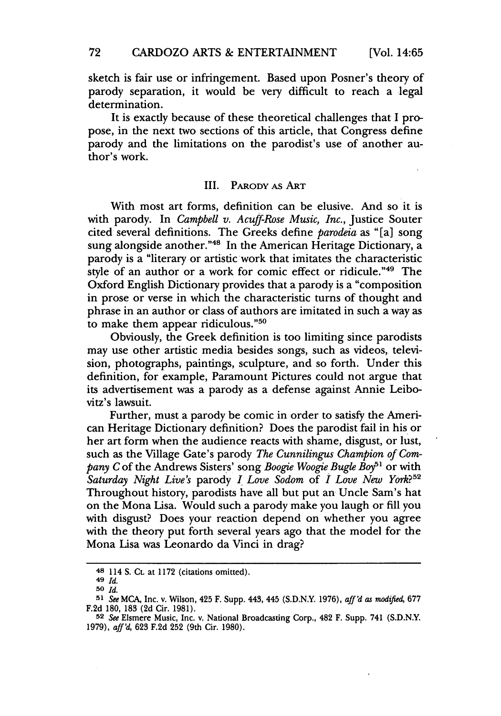**[Vol. 14:65**

sketch is fair use or infringement. Based upon Posner's theory of parody separation, it would be very difficult to reach a legal determination.

It is exactly because of these theoretical challenges that I propose, in the next two sections of this article, that Congress define parody and the limitations on the parodist's use of another author's work.

#### III. PARODY AS ART

With most art forms, definition can be elusive. And so it is with parody. In *Campbell v. Acuff-Rose Music, Inc.,* Justice Souter cited several definitions. The Greeks define *parodeia* as "[a] song sung alongside another."<sup>48</sup> In the American Heritage Dictionary, a parody is a "literary or artistic work that imitates the characteristic style of an author or a work for comic effect or ridicule."49 The Oxford English Dictionary provides that a parody is a "composition in prose or verse in which the characteristic turns of thought and phrase in an author or class of authors are imitated in such a way as .<br>to make them appear ridiculous."<sup>50</sup>

Obviously, the Greek definition is too limiting since parodists may use other artistic media besides songs, such as videos, television, photographs, paintings, sculpture, and so forth. Under this definition, for example, Paramount Pictures could not argue that its advertisement was a parody as a defense against Annie Leibovitz's lawsuit.

Further, must a parody be comic in order to satisfy the American Heritage Dictionary definition? Does the parodist fail in his or her art form when the audience reacts with shame, disgust, or lust, such as the Village Gate's parody *The Cunnilingus Champion of Company C* of the Andrews Sisters' song *Boogie Woogie Bugle Boy*<sup>51</sup> or with *Saturday Night Live's* parody *I Love Sodom* of *I Love New York?5 "* Throughout history, parodists have all but put an Uncle Sam's hat on the Mona Lisa. Would such a parody make you laugh or **fill** you with disgust? Does your reaction depend on whether you agree with the theory put forth several years ago that the model for the Mona Lisa was Leonardo da Vinci in drag?

**<sup>48</sup>** 114 **S. Ct.** at **1172** (citations omitted).

**<sup>49</sup>** *Id.*

**<sup>50</sup>** *Id.*

*<sup>51</sup> See* **MCA,** Inc. **v.** Wilson, 425 F. Supp. 443, 445 **(S.D.N.Y. 1976),** *aff'd as modified,* **677 F.2d 180, 183 (2d** Cir. **1981). <sup>52</sup>***See* Elsmere Music, Inc. v. National Broadcasting Corp., 482 F. Supp. 741 **(S.D.N.Y.**

**<sup>1979),</sup>** *aff'd,* **623 F.2d 252** (9th Cir. **1980).**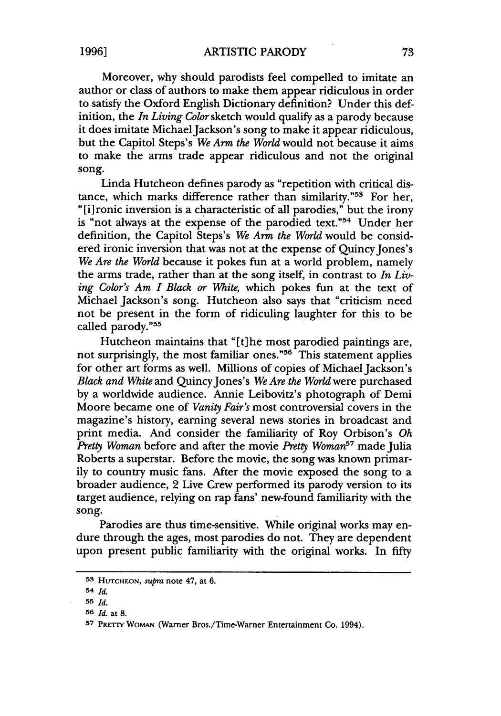Moreover, why should parodists feel compelled to imitate an author or class of authors to make them appear ridiculous in order to satisfy the Oxford English Dictionary definition? Under this definition, the *In Living Color* sketch would qualify as a parody because it does imitate Michael Jackson's song to make it appear ridiculous, but the Capitol Steps's *We Arm the World* would not because it aims to make the arms trade appear ridiculous and not the original song.

Linda Hutcheon defines parody as "repetition with critical distance, which marks difference rather than similarity."53 For her, "[i]ronic inversion is a characteristic of all parodies," but the irony is "not always at the expense of the parodied text."54 Under her definition, the Capitol Steps's *We Arm the World* would be considered ironic inversion that was not at the expense of Quincy Jones's *We Are the World* because it pokes fun at a world problem, namely the arms trade, rather than at the song itself, in contrast to *In Living Color's Am I Black or White,* which pokes fun at the text of Michael Jackson's song. Hutcheon also says that "criticism need not be present in the form of ridiculing laughter for this to be called parody."55

Hutcheon maintains that "[t] he most parodied paintings are, not surprisingly, the most familiar ones."<sup>56</sup> This statement applies for other art forms as well. Millions of copies of Michael Jackson's *Black and White* and Quincy Jones's *We Are the World* were purchased by a worldwide audience. Annie Leibovitz's photograph of Demi Moore became one of *Vanity Fair's* most controversial covers in the magazine's history, earning several news stories in broadcast and print media. And consider the familiarity of Roy Orbison's *Oh Pretty Woman* before and after the movie *Pretty Woman57* made Julia Roberts a superstar. Before the movie, the song was known primarily to country music fans. After the movie exposed the song to a broader audience, 2 Live Crew performed its parody version to its target audience, relying on rap fans' new-found familiarity with the song.

Parodies are thus time-sensitive. While original works may endure through the ages, most parodies do not. They are dependent upon present public familiarity with the original works. In fifty

**<sup>53</sup> HUTCHEON,** *supra* note 47, at **6.**

<sup>54</sup> *Id.*

**<sup>55</sup>** *Id.*

**<sup>56</sup>** *Id.* at 8.

<sup>57</sup> PRETTY WOMAN (Warner Bros./Time-Warner Entertainment Co. 1994).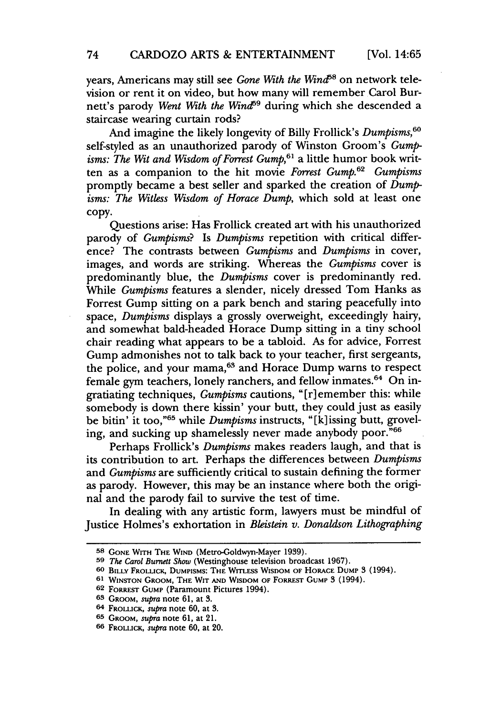years, Americans may still see *Gone With the Wind*<sup>58</sup> on network television or rent it on video, but how many will remember Carol Burnett's parody *Went With the Wind*<sup>59</sup> during which she descended a staircase wearing curtain rods?

And imagine the likely longevity of Billy Frollick's *Dumpisms,6 °* self-styled as an unauthorized parody of Winston Groom's *Gumpisms: The Wit and Wisdom of Forrest Gump,61* a little humor book written as a companion to the hit movie *Forrest Gump*.<sup>62</sup> *Gumpisms* promptly became a best seller and sparked the creation of *Dumpisms: The Witless Wisdom of Horace Dump,* which sold at least one copy.

Questions arise: Has Frollick created art with his unauthorized parody of *Gumpisms?* Is *Dumpisms* repetition with critical difference? The contrasts between *Gumpisms* and *Dumpisms* in cover, images, and words are striking. Whereas the *Gumpisms* cover is predominantly blue, the *Dumpisms* cover is predominantly red. While *Gumpisms* features a slender, nicely dressed Tom Hanks as Forrest Gump sitting on a park bench and staring peacefully into space, *Dumpisms* displays a grossly overweight, exceedingly hairy, and somewhat bald-headed Horace Dump sitting in a tiny school chair reading what appears to be a tabloid. As for advice, Forrest Gump admonishes not to talk back to your teacher, first sergeants, the police, and your mama,<sup>63</sup> and Horace Dump warns to respect female gym teachers, lonely ranchers, and fellow inmates.<sup>64</sup> On ingratiating techniques, *Gumpisms* cautions, "[r] emember this: while somebody is down there kissin' your butt, they could just as easily be bitin' it too,"65 while *Dumpisms* instructs, " **[k]** issing butt, groveling, and sucking up shamelessly never made anybody poor."66

Perhaps Frollick's *Dumpisms* makes readers laugh, and that is its contribution to art. Perhaps the differences between *Dumpisms* and *Gumpisms* are sufficiently critical to sustain defining the former as parody. However, this may be an instance where both the original and the parody fail to survive the test of time.

In dealing with any artistic form, lawyers must be mindful of Justice Holmes's exhortation in *Bleistein v. Donaldson Lithographing*

**<sup>58</sup> GONE WITH THE WIND** (Metro-Goldwyn-Mayer 1939).

**<sup>59</sup>** *The Carol Burnett Show* (Westinghouse television broadcast 1967).

**<sup>60</sup> BILLY FROLLICK, DUMPISMS: THE WITLESS** WISDOM **OF** HORACE **DUMP** 3 (1994).

**<sup>61</sup> WINSTON** GROOM, THE WIT **AND** WISDOM **OF** FORREST GUMP 3 (1994).

**<sup>62</sup> FORREST** GUMP (Paramount Pictures 1994).

**<sup>63</sup>** GROOM, *supra* note 61, at **3.**

**<sup>64</sup> FROLLICK,** *supra* note 60, at 3.

**<sup>65</sup>** GROOM, supra note 61, at 21.

**<sup>66</sup> FROLLICK,** *supra* note 60, at 20.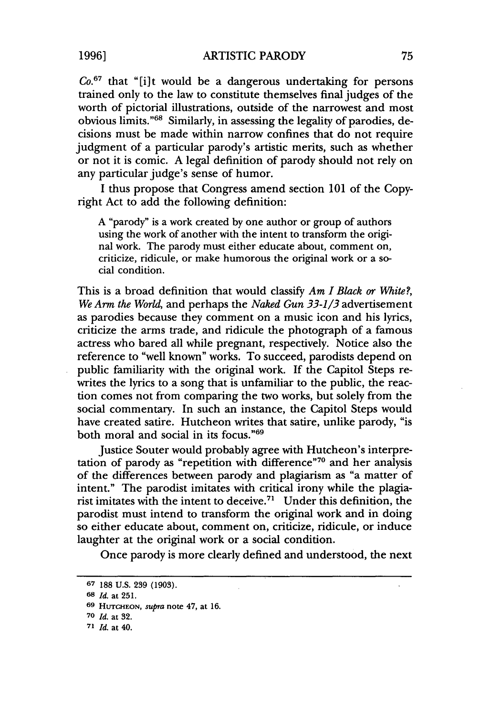*Co.<sup>6</sup> <sup>7</sup>*that "[i]t would be a dangerous undertaking for persons trained only to the law to constitute themselves final judges of the worth of pictorial illustrations, outside of the narrowest and most obvious limits."<sup>68</sup> Similarly, in assessing the legality of parodies, decisions must be made within narrow confines that do not require judgment of a particular parody's artistic merits, such as whether or not it is comic. **A** legal definition of parody should not rely on any particular judge's sense of humor.

**I** thus propose that Congress amend section **101** of the Copyright Act to add the following definition:

**A** "parody" is a work created **by** one author or group of authors using the work of another with the intent to transform the original work. The parody must either educate about, comment on, criticize, ridicule, or make humorous the original work or a social condition.

This is a broad definition that would classify *Am I Black or White?, We Arm the World,* and perhaps the *Naked Gun 33-1/3* advertisement as parodies because they comment on a music icon and his lyrics, criticize the arms trade, and ridicule the photograph of a famous actress who bared all while pregnant, respectively. Notice also the reference to "well known" works. To succeed, parodists depend on public familiarity with the original work. **If** the Capitol Steps rewrites the lyrics to a song that is unfamiliar to the public, the reaction comes not from comparing the two works, but solely from the social commentary. In such an instance, the Capitol Steps would have created satire. Hutcheon writes that satire, unlike parody, "is both moral and social in its focus."69

Justice Souter would probably agree with Hutcheon's interpretation of parody as "repetition with difference"<sup>70</sup> and her analysis of the differences between parody and plagiarism as "a matter of intent." The parodist imitates with critical irony while the plagiarist imitates with the intent to deceive.71 Under this definition, the parodist must intend to transform the original work and in doing so either educate about, comment on, criticize, ridicule, or induce laughter at the original work or a social condition.

Once parody is more clearly defined and understood, the next

**<sup>67</sup>** 188 U.S. **239 (1903).**

**<sup>68</sup>** *Id.* **at 251.**

**<sup>69</sup> HUTCHEON,** *supra* **note** 47, **at 16.**

**<sup>70</sup>** *Id.* **at 32.**

**<sup>71</sup>** *Id.* **at** 40.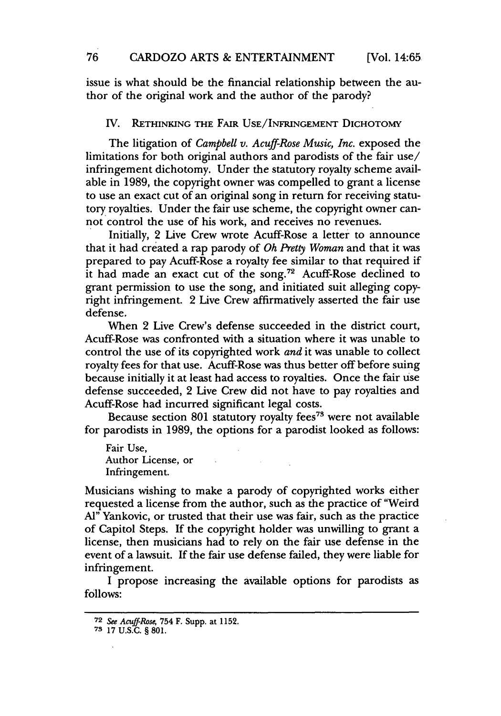issue is what should be the financial relationship between the author of the original work and the author of the parody?

#### IV. RETHINKING **THE** FAIR **USE/INFRINGEMENT** DICHOTOMY

The litigation of *Campbell v. Acuff-Rose Music, Inc.* exposed the limitations for both original authors and parodists of the fair use/ infringement dichotomy. Under the statutory royalty scheme available in **1989,** the copyright owner was compelled to grant a license to use an exact cut of an original song in return for receiving statutory royalties. Under the fair use scheme, the copyright owner cannot control the use of his work, and receives no revenues.

Initially, 2 Live Crew wrote Acuff-Rose a letter to announce that it had created a rap parody of *Oh Pretty Woman* and that it was prepared to pay Acuff-Rose a royalty fee similar to that required if it had made an exact cut of the song.<sup>72</sup> Acuff-Rose declined to grant permission to use the song, and initiated suit alleging copyright infringement. 2 Live Crew affirmatively asserted the fair use defense.

When 2 Live Crew's defense succeeded in the district court, Acuff-Rose was confronted with a situation where it was unable to control the use of its copyrighted work *and* it was unable to collect royalty fees for that use. Acuff-Rose was thus better off before suing because initially it at least had access to royalties. Once the fair use defense succeeded, 2 Live Crew did not have to pay royalties and Acuff-Rose had incurred significant legal costs.

Because section 801 statutory royalty fees<sup>73</sup> were not available for parodists in 1989, the options for a parodist looked as follows:

Fair Use, Author License, or Infringement.

Musicians wishing to make a parody of copyrighted works either requested a license from the author, such as the practice of "Weird **Al"** Yankovic, or trusted that their use was fair, such as the practice of Capitol Steps. If the copyright holder was unwilling to grant a license, then musicians had to rely on the fair use defense in the event of a lawsuit. If the fair use defense failed, they were liable for infringement.

I propose increasing the available options for parodists as follows:

**<sup>72</sup>** *See Acuff-Rose,* **754 F. Supp.** at **1152.**

**<sup>73 17</sup> U.S.C.** § **801.**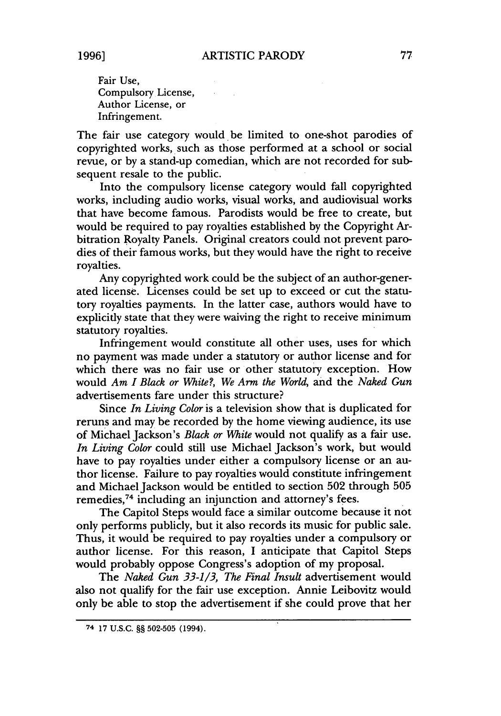**1996]**

Fair Use, Compulsory License, Author License, or Infringement.

The fair use category would be limited to one-shot parodies of copyrighted works, such as those performed at a school or social revue, or by a stand-up comedian, which are not recorded for subsequent resale to the public.

 $\mathcal{L}^{\text{max}}(\mathcal{A})$  , and  $\mathcal{L}^{\text{max}}(\mathcal{A})$ 

Into the compulsory license category would fall copyrighted works, including audio works, visual works, and audiovisual works that have become famous. Parodists would be free to create, but would be required to pay royalties established by the Copyright Arbitration Royalty Panels. Original creators could not prevent parodies of their famous works, but they would have the right to receive royalties.

Any copyrighted work could be the subject of an author-generated license. Licenses could be set up to exceed or cut the statutory royalties payments. In the latter case, authors would have to explicitly state that they were waiving the right to receive minimum statutory royalties.

Infringement would constitute all other uses, uses for which no payment was made under a statutory or author license and for which there was no fair use or other statutory exception. How would *Am I Black or White?, We Arm the World,* and the *Naked Gun* advertisements fare under this structure?

Since *In Living Color* is a television show that is duplicated for reruns and may be recorded by the home viewing audience, its use of Michael Jackson's *Black or White* would not qualify as a fair use. *In Living Color* could still use Michael Jackson's work, but would have to pay royalties under either a compulsory license or an author license. Failure to pay royalties would constitute infringement and Michael Jackson would be entitled to section 502 through 505 remedies,<sup>74</sup> including an injunction and attorney's fees.

The Capitol Steps would face a similar outcome because it not only performs publicly, but it also records its music for public sale. Thus, it would be required to pay royalties under a compulsory or author license. For this reason, I anticipate that Capitol Steps would probably oppose Congress's adoption of my proposal.

The *Naked Gun 33-1/3, The Final Insult* advertisement would also not qualify for the fair use exception. Annie Leibovitz would only be able to stop the advertisement if she could prove that her

<sup>74</sup> 17 U.S.C. §§ 502-505 (1994).